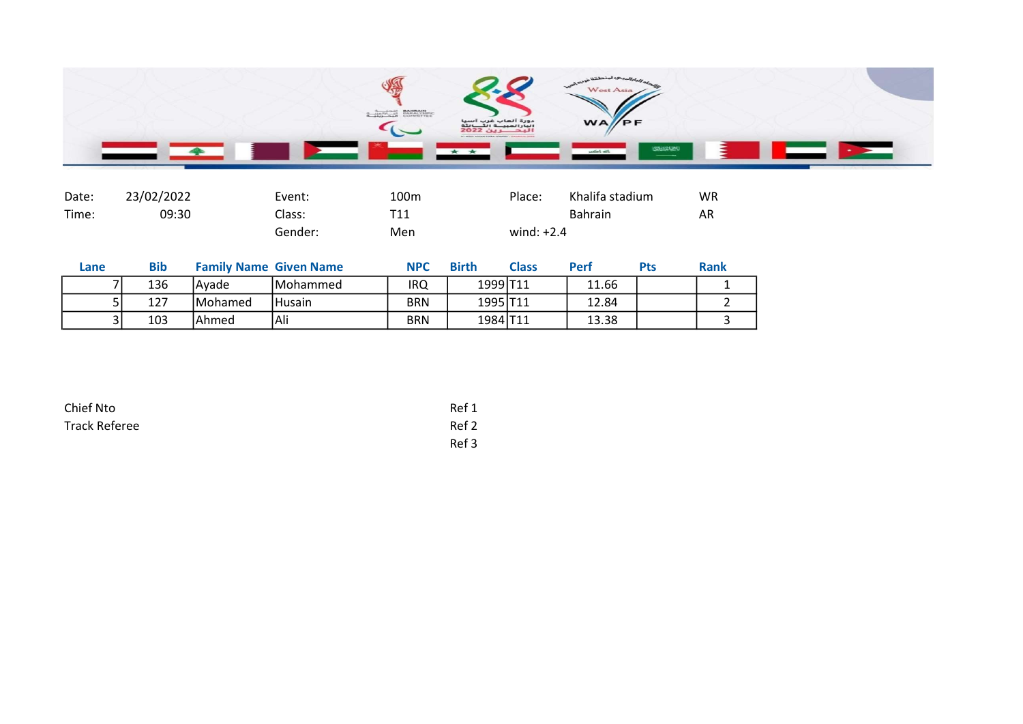

| Date: | 23/02/2022 | Event:  | 100 <sub>m</sub> | Place:       | Khalifa stadium | <b>WR</b> |
|-------|------------|---------|------------------|--------------|-----------------|-----------|
| Time: | 09:30      | Class:  | T11              |              | <b>Bahrain</b>  | AR        |
|       |            | Gender: | Men              | wind: $+2.4$ |                 |           |

| Lane | <b>Bib</b> |                 | <b>Family Name Given Name</b> | <b>NPC</b> | <b>Birth</b> | $\cap$ ass | Perf  | Pts | <b>Rank</b> |
|------|------------|-----------------|-------------------------------|------------|--------------|------------|-------|-----|-------------|
|      | 136        | lAvade          | <b>IMohammed</b>              | irq        | 1999 T11     |            | 11.66 |     |             |
|      | 127        | <b>IMohamed</b> | <b>Husain</b>                 | BRN        | 1995 T11     |            | 12.84 |     |             |
|      | 103        | lAhmed          | Ali                           | BRN        | 1984 T11     |            | 13.38 |     |             |

| Chief Nto            | Ref 1 |
|----------------------|-------|
| <b>Track Referee</b> | Ref 2 |
|                      | Ref 3 |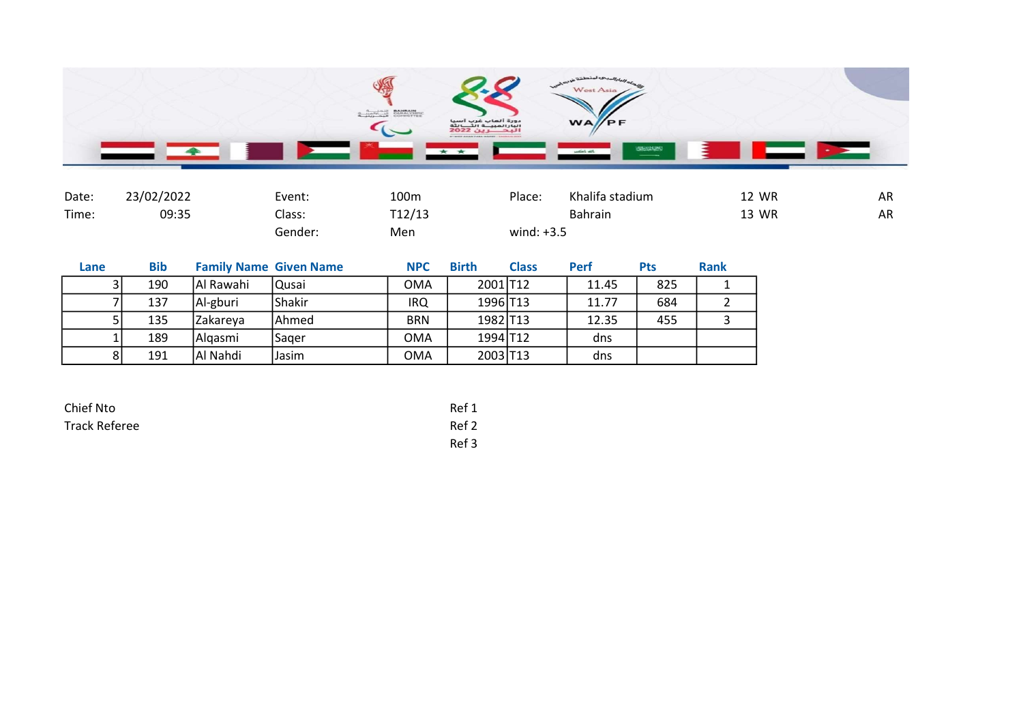

| Date: | 23/02/2022 | Event:  | 100m   | Place:       | Khalifa stadium | 12 WR | AR |
|-------|------------|---------|--------|--------------|-----------------|-------|----|
| Time: | 09:35      | Class:  | T12/13 |              | <b>Bahrain</b>  | 13 WR | AR |
|       |            | Gender: | Men    | wind: $+3.5$ |                 |       |    |

| Lane | <b>Bib</b> |           | <b>Family Name Given Name</b> | <b>NPC</b> | <b>Birth</b> | <b>Class</b> | <b>Perf</b> | Pts | <b>Rank</b> |
|------|------------|-----------|-------------------------------|------------|--------------|--------------|-------------|-----|-------------|
|      | 190        | Al Rawahi | lQusai                        | OMA        | 2001 T12     |              | 11.45       | 825 |             |
|      | 137        | Al-gburi  | Shakir                        | <b>IRQ</b> | 1996 T13     |              | 11.77       | 684 |             |
|      | 135        | Zakareya  | lAhmed                        | <b>BRN</b> | 1982 T13     |              | 12.35       | 455 |             |
|      | 189        | Algasmi   | Sager                         | OMA        | 1994 T12     |              | dns         |     |             |
| 81   | 191        | Al Nahdi  | Jasim                         | <b>OMA</b> | 2003 T13     |              | dns         |     |             |

| Chief Nto            | Ref 1 |
|----------------------|-------|
| <b>Track Referee</b> | Ref 2 |
|                      | Ref 3 |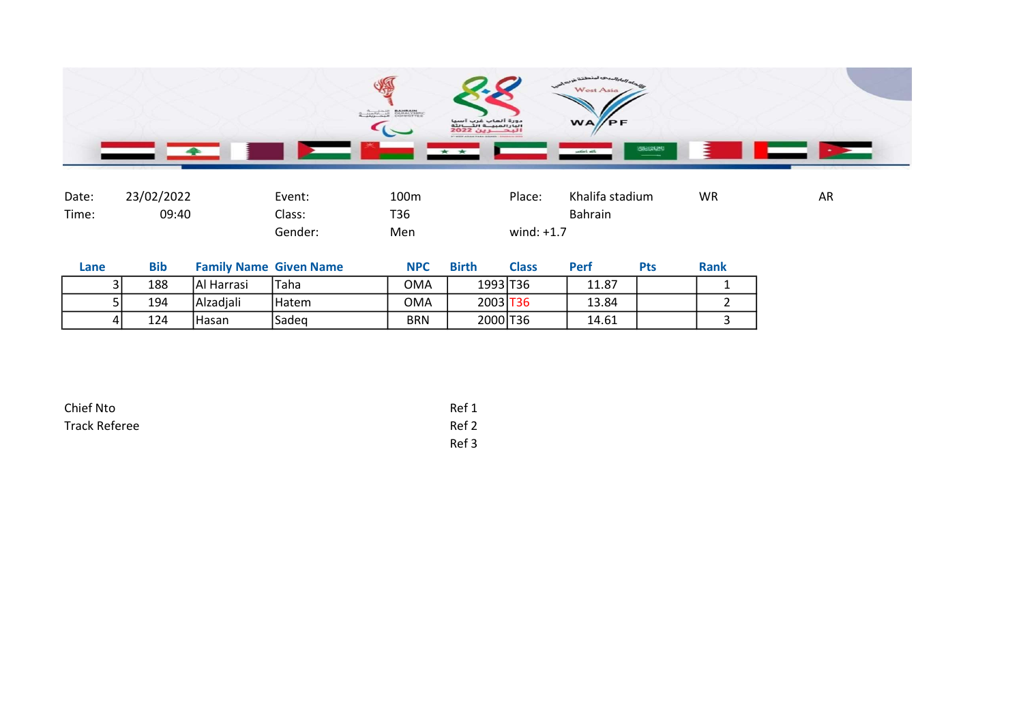

| Date: | 23/02/2022 | Event:  | 100 <sub>m</sub> | Place:       | Khalifa stadium | WR | AR |
|-------|------------|---------|------------------|--------------|-----------------|----|----|
| Time: | 09:40      | Class:  | T36              |              | <b>Bahrain</b>  |    |    |
|       |            | Gender: | Men              | wind: $+1.7$ |                 |    |    |

| Lane | <b>Bib</b> |             | <b>Family Name Given Name</b> | <b>NPC</b> | <b>Birth</b> | <b>Class</b> | Perl  | Pts | <b>Rank</b> |
|------|------------|-------------|-------------------------------|------------|--------------|--------------|-------|-----|-------------|
| 21   | 188        | IAI Harrasi | 'Taha                         | OMA        | 1993 T36     |              | 11.87 |     |             |
|      | 194        | Alzadiali   | l Hatem                       | <b>OMA</b> | 2003 T36     |              | 13.84 |     |             |
| 4 I  | 124        | Hasan       | lSadeg                        | <b>BRN</b> | 2000 T36     |              | 14.61 |     |             |

| Chief Nto            | Ref 1 |
|----------------------|-------|
| <b>Track Referee</b> | Ref 2 |
|                      | Ref 3 |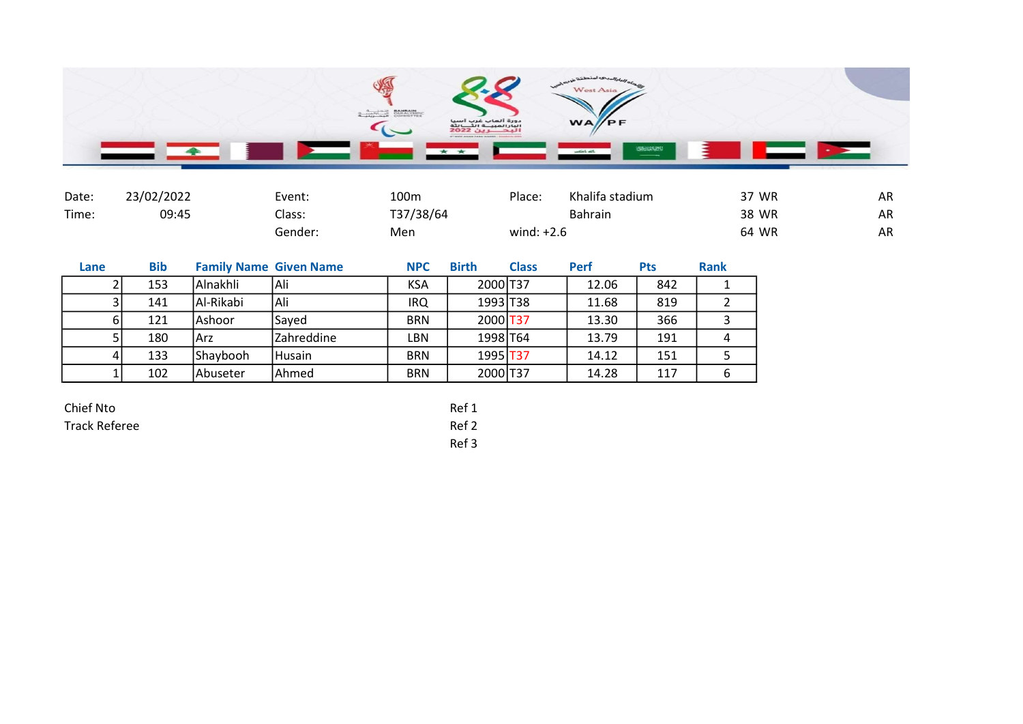

| Date: | 23/02/2022 | Event:  | 100m      | Place:       | Khalifa stadium | 37 WR | AR |
|-------|------------|---------|-----------|--------------|-----------------|-------|----|
| Time: | 09:45      | Class:  | T37/38/64 |              | Bahrain         | 38 WR | AR |
|       |            | Gender: | Men       | wind: $+2.6$ |                 | 64 WR | AR |

| Lane | <b>Bib</b> | <b>Family Name Given Name</b> |              | <b>NPC</b> | <b>Birth</b> | <b>Class</b> | <b>Perf</b> | <b>Pts</b> | <b>Rank</b> |
|------|------------|-------------------------------|--------------|------------|--------------|--------------|-------------|------------|-------------|
|      | 153        | l Alnakhli                    | Ali          | <b>KSA</b> | 2000 T37     |              | 12.06       | 842        |             |
|      | 141        | Al-Rikabi                     | Ali          | IRQ        | 1993 T38     |              | 11.68       | 819        |             |
| ы    | 121        | lAshoor                       | <b>Saved</b> | <b>BRN</b> | 2000 T37     |              | 13.30       | 366        |             |
|      | 180        | IArz                          | Zahreddine   | LBN        | 1998 T64     |              | 13.79       | 191        |             |
| 4    | 133        | Shaybooh                      | Husain       | <b>BRN</b> | 1995 T37     |              | 14.12       | 151        |             |
|      | 102        | <b>IAbuseter</b>              | Ahmed        | <b>BRN</b> | 2000 T37     |              | 14.28       | 117        | 6           |

| Chief Nto     | Ref 1 |
|---------------|-------|
| Track Referee | Ref 2 |
|               | - - - |

Ref 3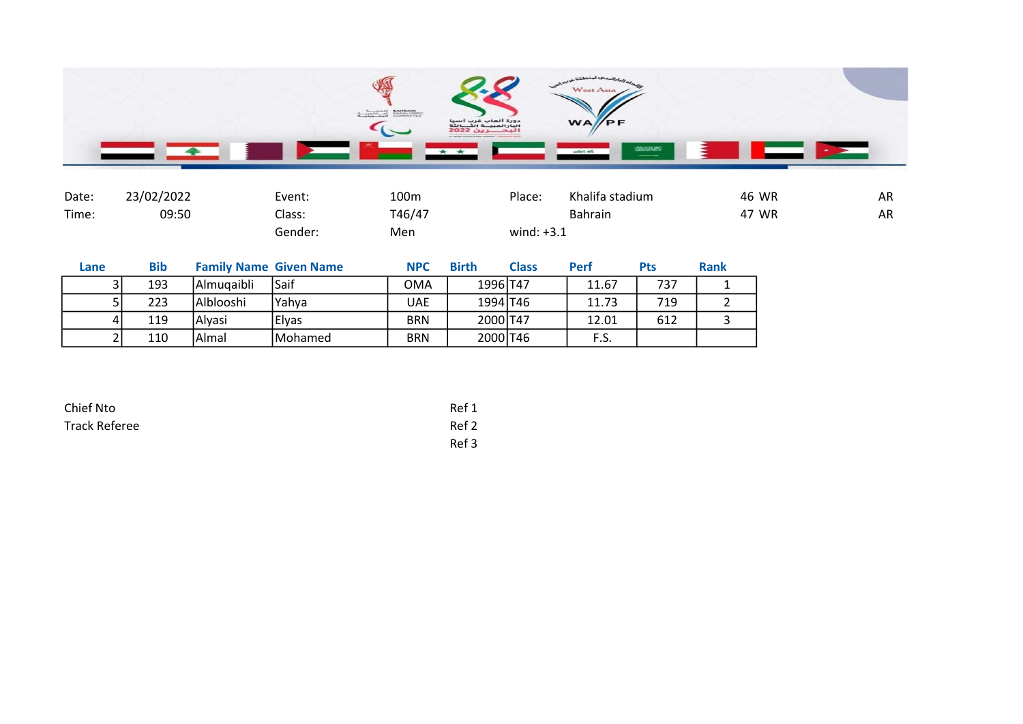

| Date: | 23/02/2022 | Event:  | 100m   | Place:       | Khalifa stadium | 46 WR | AR |
|-------|------------|---------|--------|--------------|-----------------|-------|----|
| Time: | 09:50      | Class:  | T46/47 |              | <b>Bahrain</b>  | 47 WR | AR |
|       |            | Gender: | Men    | wind: $+3.1$ |                 |       |    |

| Lane | <b>Bib</b> | <b>Family Name Given Name</b> |                 | <b>NPC</b> | <b>Birth</b> | <b>Class</b> | <b>Perf</b> | Pts | <b>Rank</b> |
|------|------------|-------------------------------|-----------------|------------|--------------|--------------|-------------|-----|-------------|
|      | 193        | Almugaibli                    | l Saif          | OMA        | 1996 T47     |              | 11.67       | 737 |             |
|      | 223        | Alblooshi                     | IYahva          | UAE        | 1994 T46     |              | 11.73       | 719 |             |
|      | 119        | Alvasi                        | Elvas           | <b>BRN</b> | 2000 T47     |              | 12.01       | 612 |             |
|      | 110        | Almal                         | <b>IMohamed</b> | <b>BRN</b> | 2000 T46     |              | F.S.        |     |             |

| Chief Nto            | Ref 1 |
|----------------------|-------|
| <b>Track Referee</b> | Ref 2 |
|                      | Ref 3 |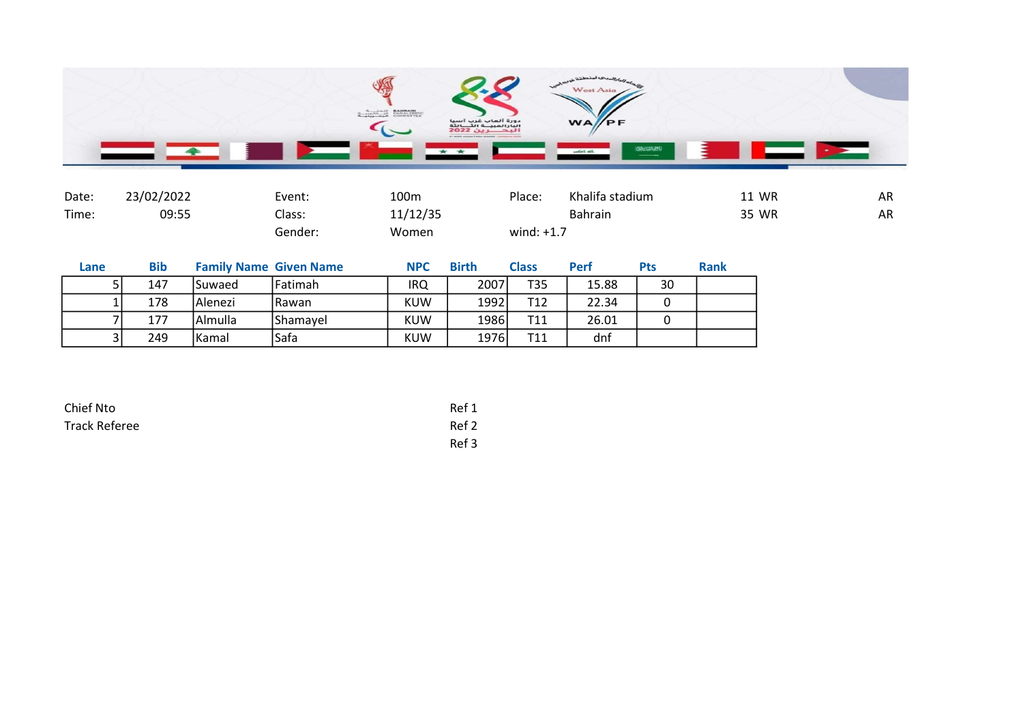

| Date: | 23/02/2022 | Event:  | 100m     | Place:       | Khalifa stadium | <b>11 WR</b> | <b>AR</b> |
|-------|------------|---------|----------|--------------|-----------------|--------------|-----------|
| Time: | 09:55      | Class:  | 11/12/35 |              | <b>Bahrain</b>  | 35 WR        | <b>AR</b> |
|       |            | Gender: | Women    | wind: $+1.7$ |                 |              |           |

| Lane | <b>Bib</b> |          | <b>Family Name Given Name</b> | <b>NPC</b> | <b>Birth</b> | Class | <b>Perf</b> | <b>Pts</b> | <b>Rank</b> |
|------|------------|----------|-------------------------------|------------|--------------|-------|-------------|------------|-------------|
|      | 147        | Suwaed   | Fatimah                       | IRQ        | 2007         | T35   | 15.88       | 30         |             |
|      | 178        | lAlenezi | l Rawan                       | <b>KUW</b> | 1992         | T12   | 22.34       |            |             |
|      | 177        | Almulla  | Shamayel                      | <b>KUW</b> | 1986         | T11   | 26.01       |            |             |
|      | 249        | Kamal    | 'Safa                         | KUW        | 1976         | T11   | dnf         |            |             |

| Chief Nto            | Ref 1 |
|----------------------|-------|
| <b>Track Referee</b> | Ref 2 |
|                      | Ref 3 |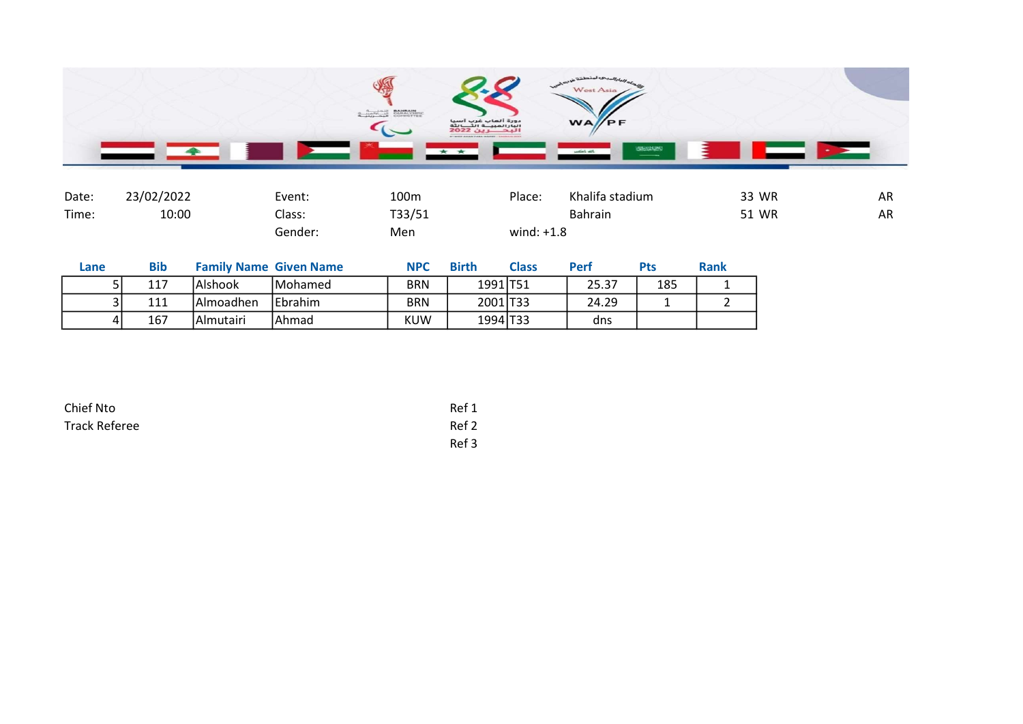

| Date: | 23/02/2022 | Event:  | 100m   | Place:       | Khalifa stadium | 33 WR | AR |
|-------|------------|---------|--------|--------------|-----------------|-------|----|
| Time: | 10:00      | ົ.lass: | T33/51 |              | <b>Bahrain</b>  | 51 WR | AR |
|       |            | Gender: | Men    | wind: $+1.8$ |                 |       |    |

| Lane | <b>Bib</b> |            | <b>Family Name Given Name</b> | <b>NPC</b> | <b>Birth</b>         | <b>Class</b> | Perf  | Pts | <b>Rank</b> |
|------|------------|------------|-------------------------------|------------|----------------------|--------------|-------|-----|-------------|
|      | 117        | lAlshook   | <b>IMohamed</b>               | <b>BRN</b> | 1991 T <sub>51</sub> |              | 25.37 | 185 |             |
| ີ    | 111        | Almoadhen  | IEbrahim                      | <b>BRN</b> | 2001 T33             |              | 24.29 |     |             |
| 4 I  | 167        | lAlmutairi | IAhmad                        | KUW        | 1994 T33             |              | dns   |     |             |

| Chief Nto     | Ref 1 |
|---------------|-------|
| Track Referee | Ref 2 |
|               | Ref 3 |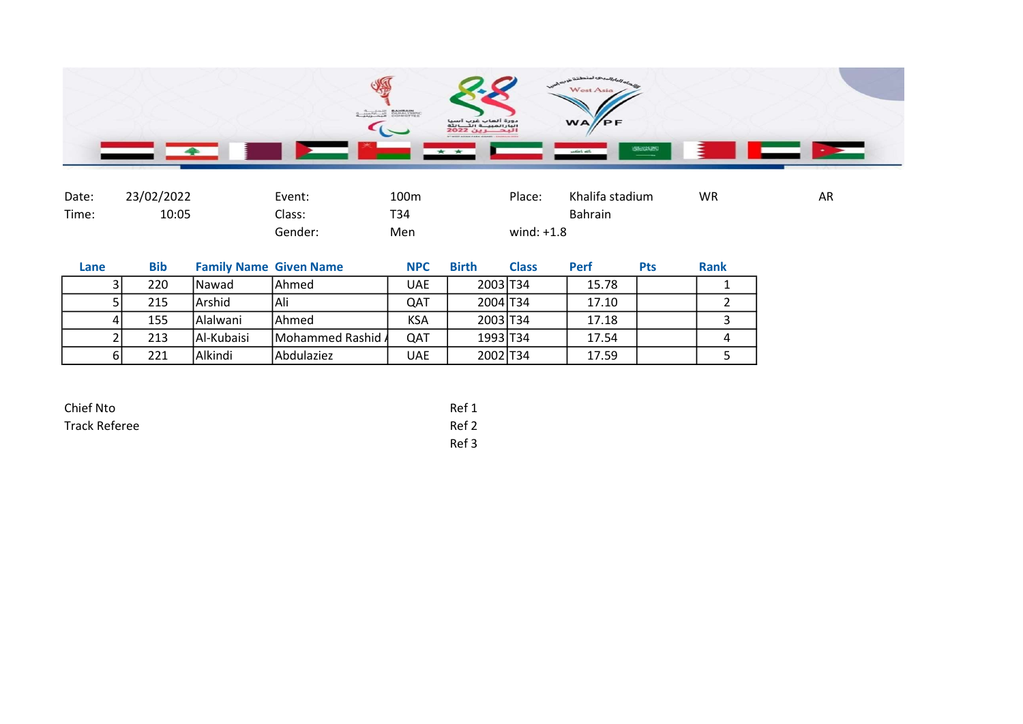

| Date: | 23/02/2022 | Event:  | 100m | Place:       | Khalifa stadium | WR | AR |
|-------|------------|---------|------|--------------|-----------------|----|----|
| Time: | 10:05      | Class:  | T34  |              | <b>Bahrain</b>  |    |    |
|       |            | Gender: | Men  | wind: $+1.8$ |                 |    |    |

| Lane | <b>Bib</b> |            | <b>Family Name Given Name</b> | <b>NPC</b> | <b>Birth</b> | <b>Class</b> | <b>Perf</b> | <b>Pts</b> | <b>Rank</b> |
|------|------------|------------|-------------------------------|------------|--------------|--------------|-------------|------------|-------------|
|      | 220        | lNawad     | lAhmed                        | <b>UAE</b> | 2003 T34     |              | 15.78       |            |             |
|      | 215        | Arshid     | Ali                           | QAT        | 2004 T34     |              | 17.10       |            |             |
|      | 155        | l Alalwani | lAhmed                        | <b>KSA</b> | 2003 T34     |              | 17.18       |            |             |
|      | 213        | Al-Kubaisi | Mohammed Rashid A             | QAT        | 1993 T34     |              | 17.54       |            |             |
| 61   | 221        | Alkindi    | Abdulaziez                    | UAE        | 2002 T34     |              | 17.59       |            |             |

| Chief Nto            | Ref 1 |
|----------------------|-------|
| <b>Track Referee</b> | Ref 2 |
|                      | Ref 3 |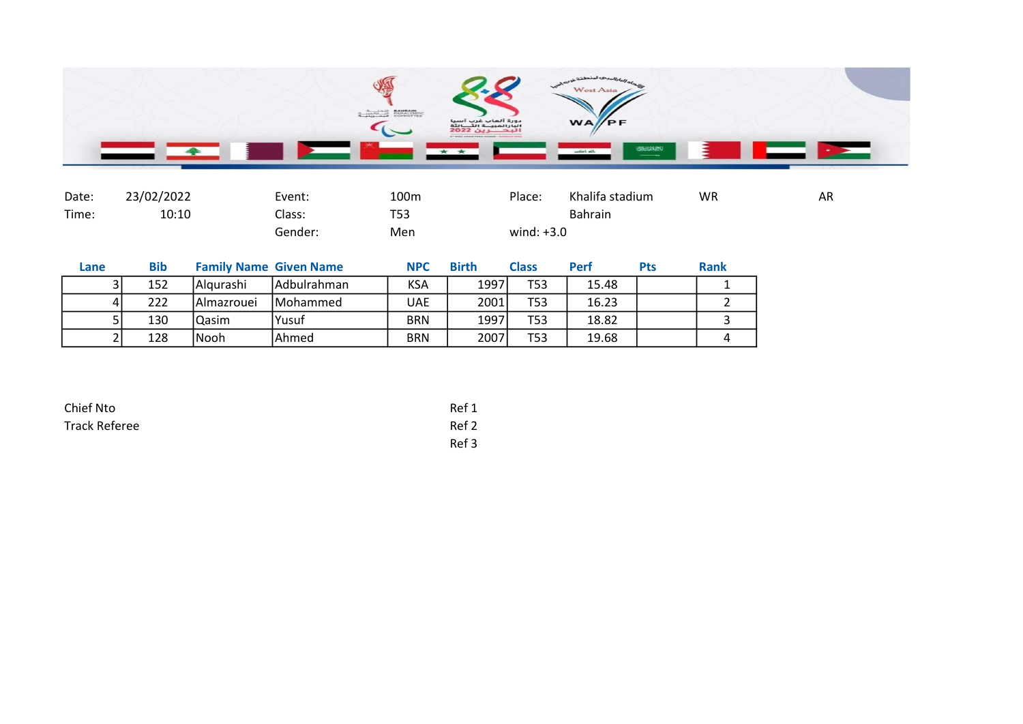

| Date: | 23/02/2022 | Event:  | 100m | Place:       | Khalifa stadium | <b>WR</b> | AR |
|-------|------------|---------|------|--------------|-----------------|-----------|----|
| Time: | 10:10      | Class:  | T53  |              | Bahrain         |           |    |
|       |            | Gender: | Men  | wind: $+3.0$ |                 |           |    |

| Lane | <b>Bib</b> | <b>Family Name Given Name</b> |                  | <b>NPC</b> | <b>Birth</b> | <b>Class</b> | <b>Perf</b> | <b>Pts</b> | Rank |
|------|------------|-------------------------------|------------------|------------|--------------|--------------|-------------|------------|------|
|      | 152        | Algurashi                     | Adbulrahman      | <b>KSA</b> | 1997         | <b>T53</b>   | 15.48       |            |      |
|      | 222        | l Almazrouei                  | <b>IMohammed</b> | UAE        | 2001         | T53          | 16.23       |            |      |
|      | 130        | Qasim                         | <b>Yusuf</b>     | <b>BRN</b> | 1997         | T53          | 18.82       |            |      |
|      | 128        | lNooh                         | <b>IAhmed</b>    | <b>BRN</b> | 2007         | <b>T53</b>   | 19.68       |            |      |

| Chief Nto            | Ref 1 |
|----------------------|-------|
| <b>Track Referee</b> | Ref 2 |
|                      | Ref 3 |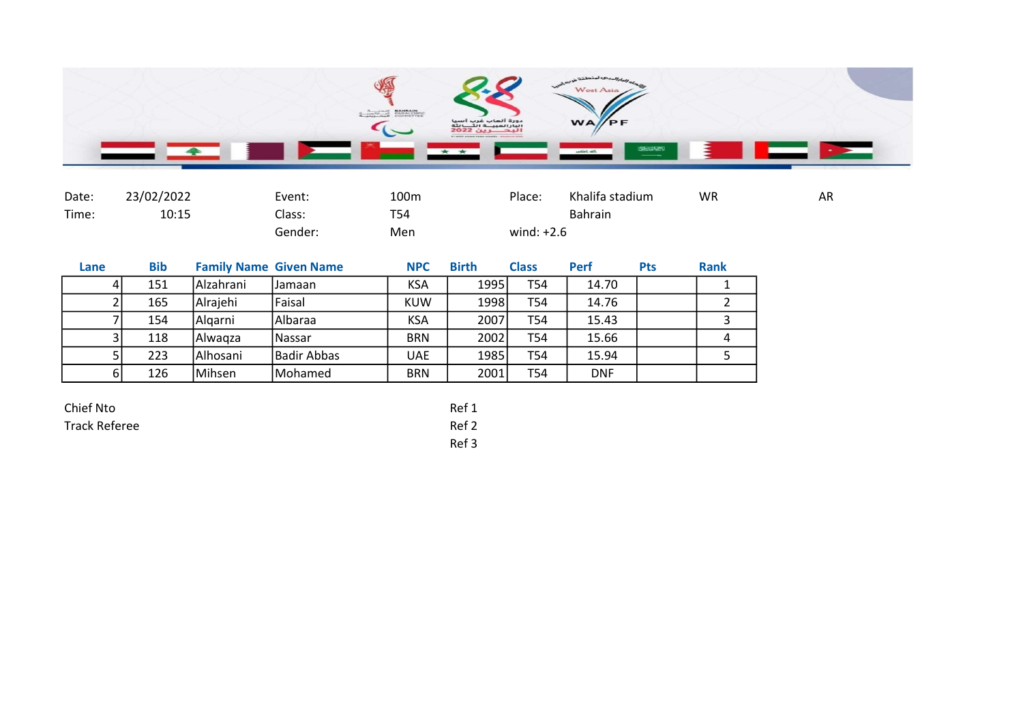

| Date: | 23/02/2022 | Event:  | 100m | Place:       | Khalifa stadium | <b>WR</b> | AR |
|-------|------------|---------|------|--------------|-----------------|-----------|----|
| Time: | 10:15      | Class:  | T54  |              | <b>Bahrain</b>  |           |    |
|       |            | Gender: | Men  | wind: $+2.6$ |                 |           |    |

Ref 3

| Lane | <b>Bib</b> |             | <b>Family Name Given Name</b> | <b>NPC</b> | <b>Birth</b> | <b>Class</b> | <b>Perf</b> | <b>Pts</b> | <b>Rank</b> |
|------|------------|-------------|-------------------------------|------------|--------------|--------------|-------------|------------|-------------|
|      | 151        | l Alzahrani | IJamaan                       | <b>KSA</b> | 1995         | T54          | 14.70       |            |             |
|      | 165        | Alrajehi    | Faisal                        | KUW        | 1998         | T54          | 14.76       |            |             |
|      | 154        | Algarni     | Albaraa                       | <b>KSA</b> | 2007         | T54          | 15.43       |            |             |
|      | 118        | Alwaqza     | <b>Nassar</b>                 | <b>BRN</b> | 2002         | T54          | 15.66       |            |             |
|      | 223        | Alhosani    | Badir Abbas                   | <b>UAE</b> | 1985         | T54          | 15.94       |            |             |
| 61   | 126        | Mihsen      | Mohamed                       | <b>BRN</b> | 2001         | T54          | <b>DNF</b>  |            |             |

| Chief Nto     | Ref 1         |
|---------------|---------------|
| Track Referee | Ref 2         |
|               | $\sim$ $\sim$ |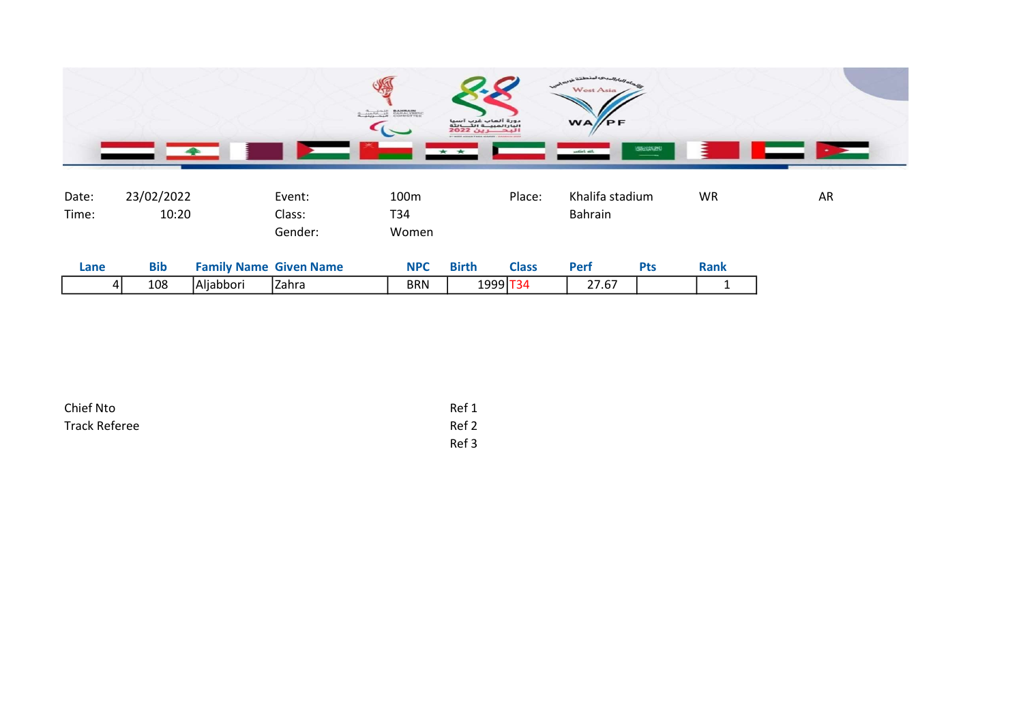

| Date:<br>Time: | 23/02/2022<br>10:20 |                               | Event:<br>Class:<br>Gender: | 100 <sub>m</sub><br>T34<br>Women |              | Place:       | Khalifa stadium<br><b>Bahrain</b> |            | <b>WR</b>   | AR |
|----------------|---------------------|-------------------------------|-----------------------------|----------------------------------|--------------|--------------|-----------------------------------|------------|-------------|----|
| Lane           | <b>Bib</b>          | <b>Family Name Given Name</b> |                             | <b>NPC</b>                       | <b>Birth</b> | <b>Class</b> | Perf                              | <b>Pts</b> | <b>Rank</b> |    |
| 41             | 108                 | Aljabbori                     | Zahra                       | <b>BRN</b>                       | 1999 T34     |              | 27.67                             |            |             |    |

| Chief Nto     | Ref 1 |
|---------------|-------|
| Track Referee | Ref 2 |
|               | Ref 3 |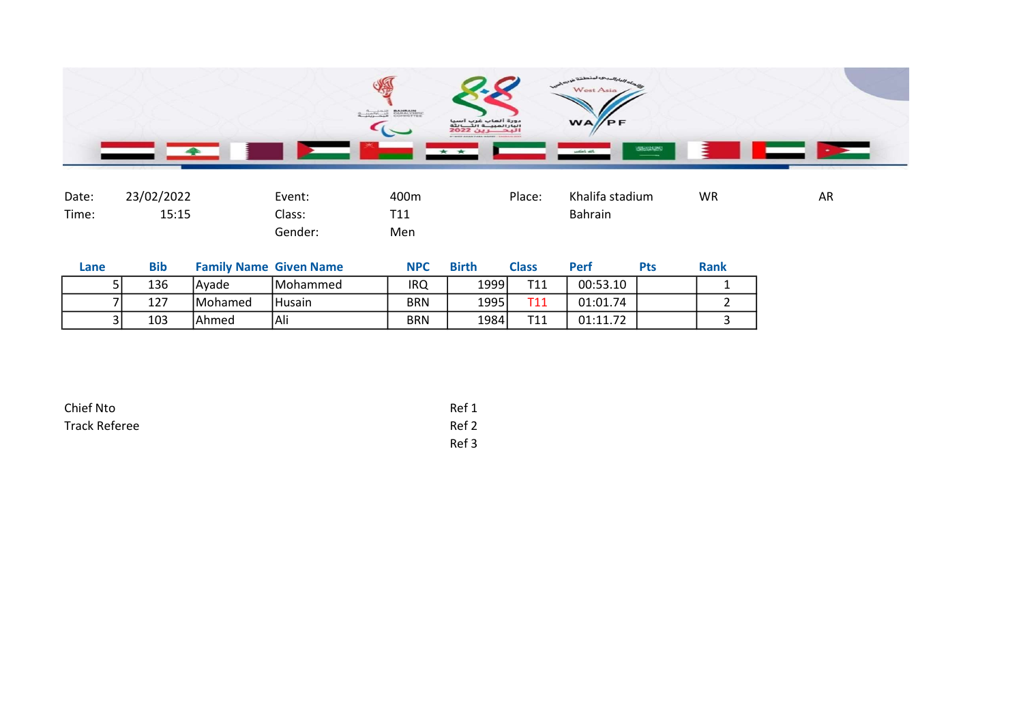

| Date: | 23/02/2022 | Event:  | 400m            | Place: | Khalifa stadium | WR | AR |
|-------|------------|---------|-----------------|--------|-----------------|----|----|
| Time: | 15:15      | Class:  | T <sub>11</sub> |        | <b>Bahrain</b>  |    |    |
|       |            | Gender: | Men             |        |                 |    |    |

| Lane | <b>Bib</b> |          | <b>Family Name Given Name</b> | <b>NPC</b> | <b>Birth</b> | <b>Class</b>    | Perf     | Pts | <b>Rank</b> |
|------|------------|----------|-------------------------------|------------|--------------|-----------------|----------|-----|-------------|
|      | 136        | lAvade   | <b>IMohammed</b>              | <b>IRQ</b> | 1999         | T11             | 00:53.10 |     |             |
|      | 127        | lMohamed | l Husain                      | <b>BRN</b> | 1995         | T11             | 01:01.74 |     |             |
|      | 103        | Ahmed    | Ali                           | <b>BRN</b> | 1984         | <b>T11</b><br>ᆠ | 01:11.72 |     |             |

| Chief Nto            | Ref 1 |
|----------------------|-------|
| <b>Track Referee</b> | Ref 2 |
|                      | Ref 3 |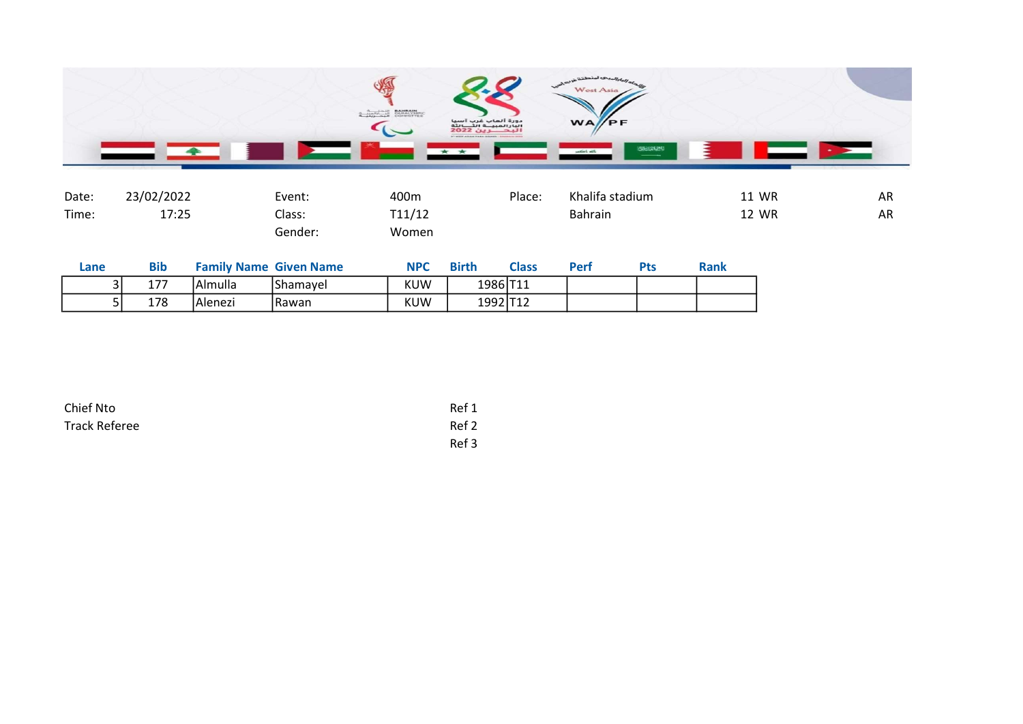

| Date: | 23/02/2022 |                               | Event:  | 400m       |              | Place:       | Khalifa stadium |            |             | 11 WR | AR |
|-------|------------|-------------------------------|---------|------------|--------------|--------------|-----------------|------------|-------------|-------|----|
| Time: | 17:25      |                               | Class:  | T11/12     |              |              | <b>Bahrain</b>  |            |             | 12 WR | AR |
|       |            |                               | Gender: | Women      |              |              |                 |            |             |       |    |
| Lane  | <b>Bib</b> | <b>Family Name Given Name</b> |         | <b>NPC</b> | <b>Birth</b> | <b>Class</b> | Perf            | <b>Pts</b> | <b>Rank</b> |       |    |

| $\overline{\phantom{a}}$ | .<br>IAImulla | IShamavel | <b>KUW</b> | 1986 T            | $\sim$ $ \sim$ $\sim$ |  |  |
|--------------------------|---------------|-----------|------------|-------------------|-----------------------|--|--|
| 178                      | IAlenezi      | IRawan    | <b>KUW</b> | 1992 T12<br>----- | .                     |  |  |

| Chief Nto            | Ref 1 |
|----------------------|-------|
| <b>Track Referee</b> | Ref 2 |
|                      | Ref 3 |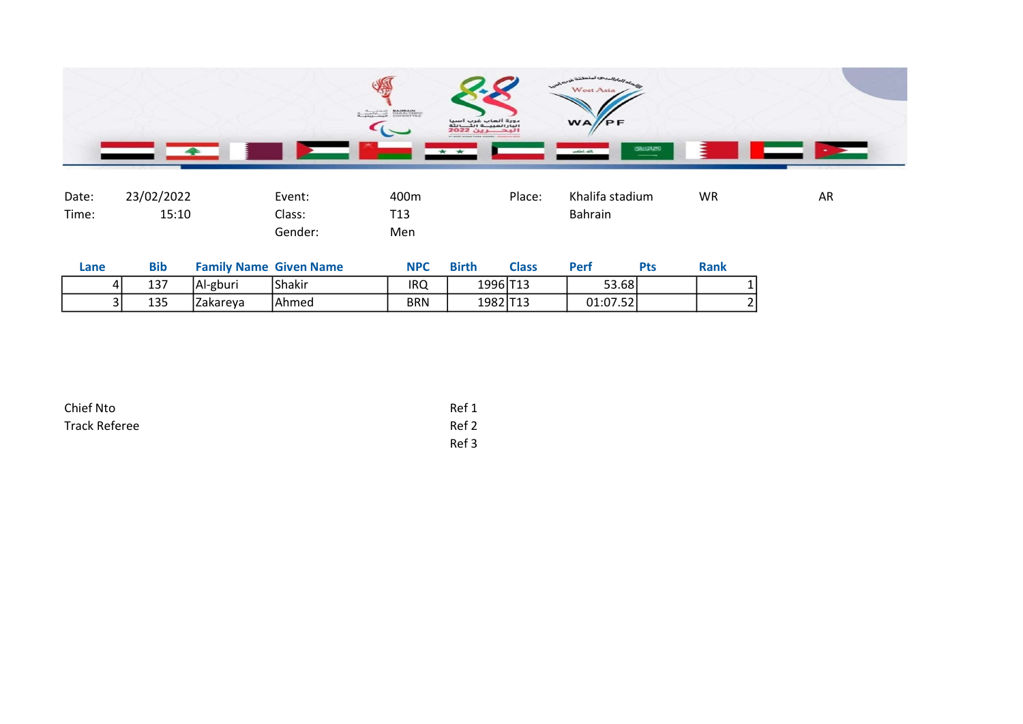

| Date: | 23/02/2022 | Event:  | 400m            | Place: | Khalifa stadium | <b>WR</b> | AR |
|-------|------------|---------|-----------------|--------|-----------------|-----------|----|
| Time: | 15:10      | Class:  | T <sub>13</sub> |        | <b>Bahrain</b>  |           |    |
|       |            | Gender: | Men             |        |                 |           |    |

| Lane        | Bib |          | <b>Family Name Given Name</b> | <b>NPC</b> | <b>Birth</b> | <b>Class</b> | Perf     | ়াত | <b>Rank</b> |
|-------------|-----|----------|-------------------------------|------------|--------------|--------------|----------|-----|-------------|
| 4           | 137 | Al-gburi | <b>Shakir</b>                 | IRQ        | 1996 T13     |              | 53.68    |     |             |
| $\sim$<br>ັ | 135 | Zakareya | IAhmed                        | <b>BRN</b> | 1982 T13     |              | 01:07.52 |     |             |

| Chief Nto            | Ref 1 |
|----------------------|-------|
| <b>Track Referee</b> | Ref 2 |
|                      | Ref 3 |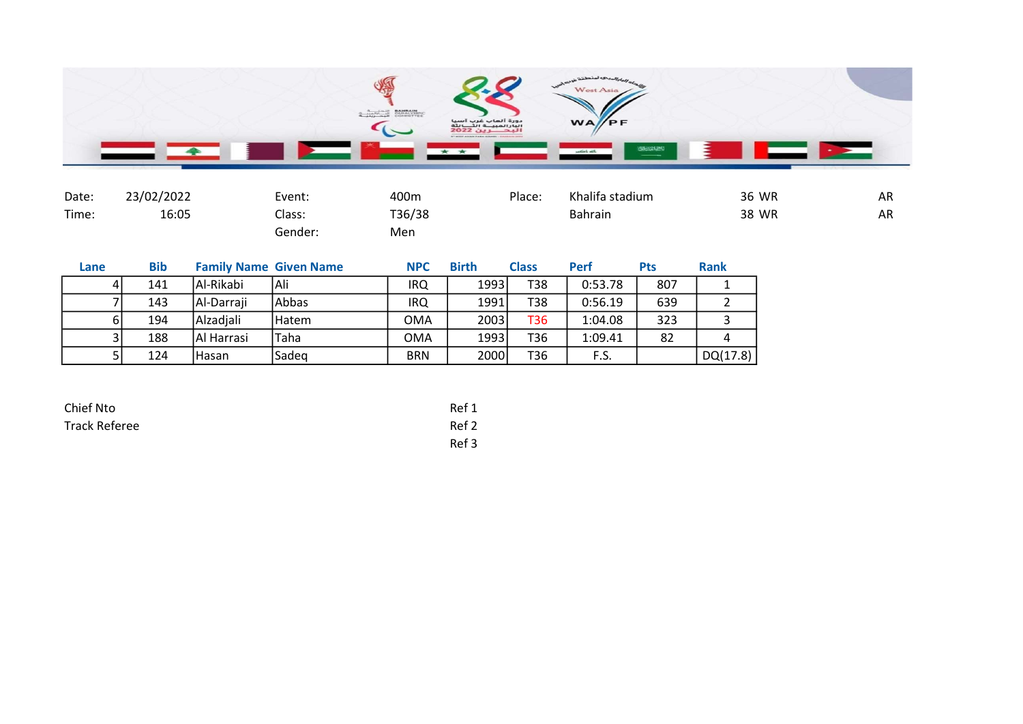

| Date: | 23/02/2022 | Event:  | 400m   | Place: | Khalifa stadium | 36 WR | AR |
|-------|------------|---------|--------|--------|-----------------|-------|----|
| Time: | 16:05      | Class:  | T36/38 |        | <b>Bahrain</b>  | 38 WR | AR |
|       |            | Gender: | Men    |        |                 |       |    |

| Lane |    | <b>Bib</b> |             | <b>Family Name Given Name</b> | <b>NPC</b> | <b>Birth</b> | <b>Class</b> | <b>Perf</b> | Pts | Rank     |
|------|----|------------|-------------|-------------------------------|------------|--------------|--------------|-------------|-----|----------|
|      |    | 141        | Al-Rikabi   | Ali                           | IRQ        | 1993         | T38          | 0:53.78     | 807 |          |
|      |    | 143        | Al-Darraji  | Abbas                         | IRQ        | 1991         | T38          | 0:56.19     | 639 |          |
|      | 61 | 194        | Alzadiali   | <b>Hatem</b>                  | OMA        | 2003         | T36          | 1:04.08     | 323 |          |
|      |    | 188        | IAI Harrasi | lTaha                         | OMA        | 1993         | T36          | 1:09.41     | 82  |          |
|      |    | 124        | Hasan       | Sadeg                         | <b>BRN</b> | 2000         | T36          | F.S.        |     | DQ(17.8) |

| Chief Nto            | Ref 1 |
|----------------------|-------|
| <b>Track Referee</b> | Ref 2 |
|                      | Ref 3 |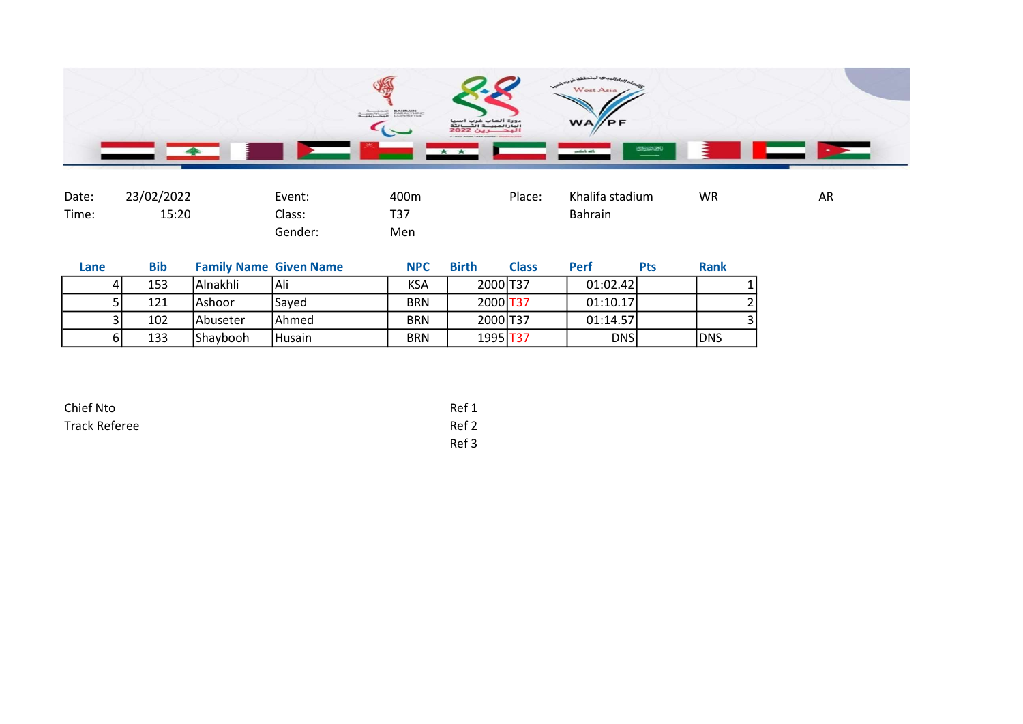

| Date: | 23/02/2022 | Event:  | 400m | Place: | Khalifa stadium | <b>WR</b> | AR |
|-------|------------|---------|------|--------|-----------------|-----------|----|
| Time: | 15:20      | Class:  | T37  |        | <b>Bahrain</b>  |           |    |
|       |            | Gender: | Men  |        |                 |           |    |

| Lane | <b>Bib</b> |           | <b>Family Name Given Name</b> | <b>NPC</b> | <b>Birth</b> | <b>Class</b> | <b>Perf</b> | Pts | <b>Rank</b> |
|------|------------|-----------|-------------------------------|------------|--------------|--------------|-------------|-----|-------------|
|      | 153        | lAlnakhli | Ali                           | KSA        | 2000 T37     |              | 01:02.42    |     |             |
|      | 121        | lAshoor   | Saved                         | <b>BRN</b> | 2000 T37     |              | 01:10.17    |     |             |
|      | 102        | lAbuseter | <b>IAhmed</b>                 | <b>BRN</b> | 2000 T37     |              | 01:14.57    |     |             |
| ы    | 133        | IShavbooh | Husain                        | <b>BRN</b> | 1995 T37     |              | <b>DNS</b>  |     | <b>DNS</b>  |

| Chief Nto            | Ref 1 |
|----------------------|-------|
| <b>Track Referee</b> | Ref 2 |
|                      | Ref 3 |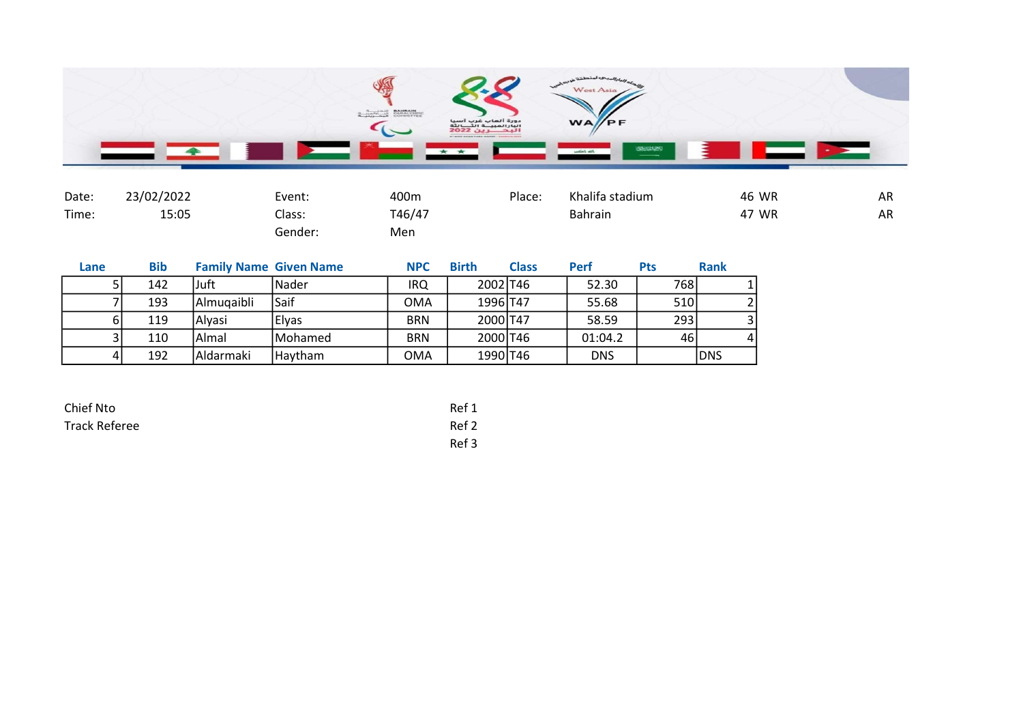

| Date: | 23/02/2022 | Event:  | 400m   | Place: | Khalifa stadium | 46 WR | AR        |
|-------|------------|---------|--------|--------|-----------------|-------|-----------|
| Time: | 15:05      | Class:  | T46/47 |        | <b>Bahrain</b>  | 47 WR | <b>AR</b> |
|       |            | Gender: | Men    |        |                 |       |           |

| Lane           | <b>Bib</b> |            | <b>Family Name Given Name</b> | <b>NPC</b> | <b>Birth</b> | <b>Class</b> | Perf       | Pts  | <b>Rank</b> |
|----------------|------------|------------|-------------------------------|------------|--------------|--------------|------------|------|-------------|
|                | 142        | lJuft      | l Nader                       | IRQ        | 2002 T46     |              | 52.30      | 768I |             |
|                | 193        | Almugaibli | Saif                          | <b>OMA</b> | 1996 T47     |              | 55.68      | 510  |             |
|                | 119        | l Alvasi   | Elyas                         | <b>BRN</b> | 2000 T47     |              | 58.59      | 293  |             |
|                | 110        | Almal      | <b>IMohamed</b>               | <b>BRN</b> | 2000 T46     |              | 01:04.2    | 46 I | $\Lambda$   |
| $\overline{4}$ | 192        | Aldarmaki  | Haytham                       | <b>OMA</b> | 1990 T46     |              | <b>DNS</b> |      | DNS         |

| Chief Nto            | Ref 1 |
|----------------------|-------|
| <b>Track Referee</b> | Ref 2 |
|                      | Ref 3 |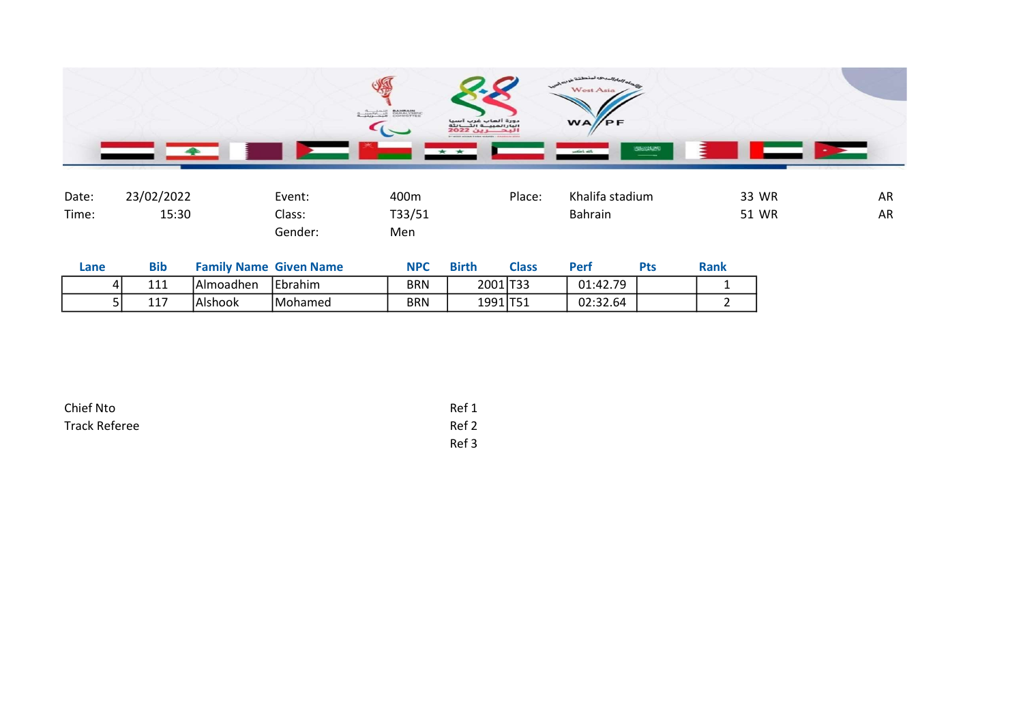

| Date: | 23/02/2022 | Event:  | 400m   | Place: | Khalifa stadium | 33 WR | <b>AR</b> |
|-------|------------|---------|--------|--------|-----------------|-------|-----------|
| Time: | 15:30      | Class:  | T33/51 |        | <b>Bahrain</b>  | 51 WR | <b>AR</b> |
|       |            | Gender: | Men    |        |                 |       |           |

| Lane | Bib |            | <b>Family Name Given Name</b> | <b>NPC</b> | <b>Birth</b> | <b>Class</b> | Perf     | <b>Pts</b> | <b>Rank</b> |
|------|-----|------------|-------------------------------|------------|--------------|--------------|----------|------------|-------------|
| 4    | 111 | IAlmoadhen | <b>Ebrahim</b>                | BRN        | 2001 T33     |              | 01:42.79 |            |             |
| ັ    | 117 | Alshook    | Mohamed                       | BRN        | 1991 T51     |              | 02:32.64 |            |             |

| Chief Nto            | Ref 1 |
|----------------------|-------|
| <b>Track Referee</b> | Ref 2 |
|                      | Ref 3 |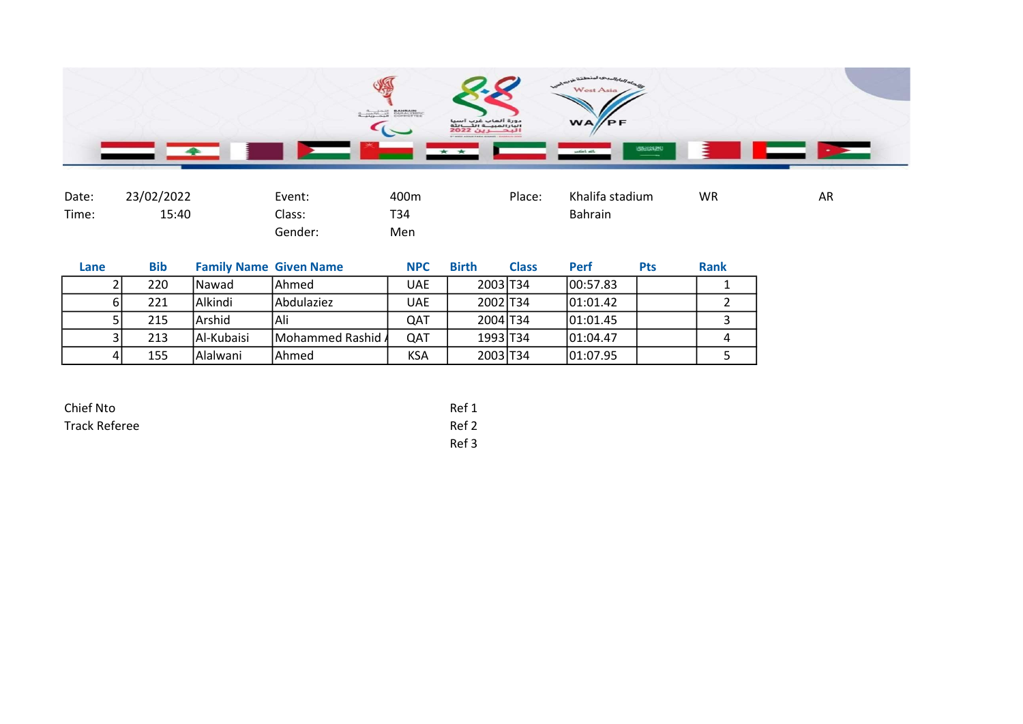

| Date: | 23/02/2022 | Event:  | 400m | Place: | Khalifa stadium | <b>WR</b> | AR |
|-------|------------|---------|------|--------|-----------------|-----------|----|
| Time: | 15:40      | Class:  | T34  |        | <b>Bahrain</b>  |           |    |
|       |            | Gender: | Men  |        |                 |           |    |

| Lane | <b>Bib</b> | <b>Family Name Given Name</b> |                           | <b>NPC</b> | <b>Birth</b> | <b>Class</b> | Perf      | <b>Pts</b> | <b>Rank</b> |
|------|------------|-------------------------------|---------------------------|------------|--------------|--------------|-----------|------------|-------------|
|      | 220        | lNawad                        | lAhmed                    | <b>UAE</b> | 2003 T34     |              | 100:57.83 |            |             |
|      | 221        | lAlkindi                      | lAbdulaziez               | <b>UAE</b> | 2002 T34     |              | 01:01.42  |            |             |
|      | 215        | lArshid                       | 'Ali                      | QAT        | 2004 T34     |              | 101:01.45 |            |             |
|      | 213        | Al-Kubaisi                    | <b>IMohammed Rashid A</b> | QAT        | 1993 T34     |              | 101:04.47 |            |             |
|      | 155        | Alalwani                      | lAhmed                    | <b>KSA</b> | 2003 T34     |              | 01:07.95  |            |             |

| Chief Nto            | Ref 1 |
|----------------------|-------|
| <b>Track Referee</b> | Ref 2 |
|                      | Ref 3 |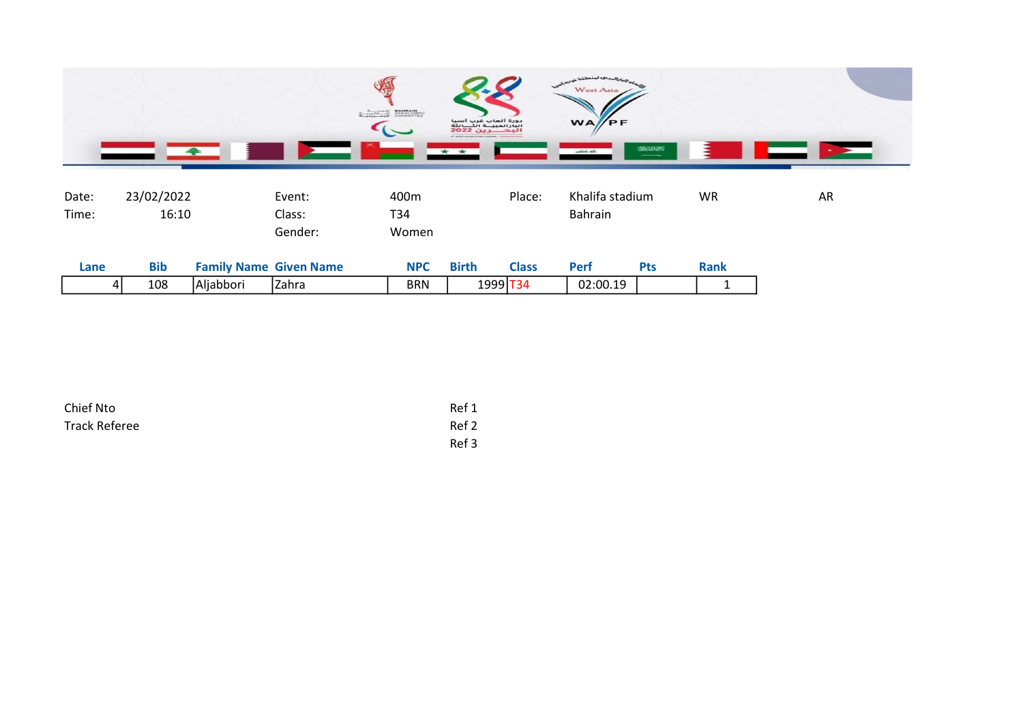

| Date:<br>Time: | 23/02/2022<br>16:10 |                               | Event:<br>Class:<br>Gender: | 400m<br>T34<br>Women |              | Place:       | Khalifa stadium<br><b>Bahrain</b> |            | <b>WR</b>   | AR |
|----------------|---------------------|-------------------------------|-----------------------------|----------------------|--------------|--------------|-----------------------------------|------------|-------------|----|
| Lane           | <b>Bib</b>          | <b>Family Name Given Name</b> |                             | <b>NPC</b>           | <b>Birth</b> | <b>Class</b> | Perf                              | <b>Pts</b> | <b>Rank</b> |    |
| 41             | 108                 | Aljabbori                     | Zahra                       | <b>BRN</b>           | 1999 T34     |              | 02:00.19                          |            |             |    |

| Chief Nto     | Ref 1 |
|---------------|-------|
| Track Referee | Ref 2 |
|               | Ref 3 |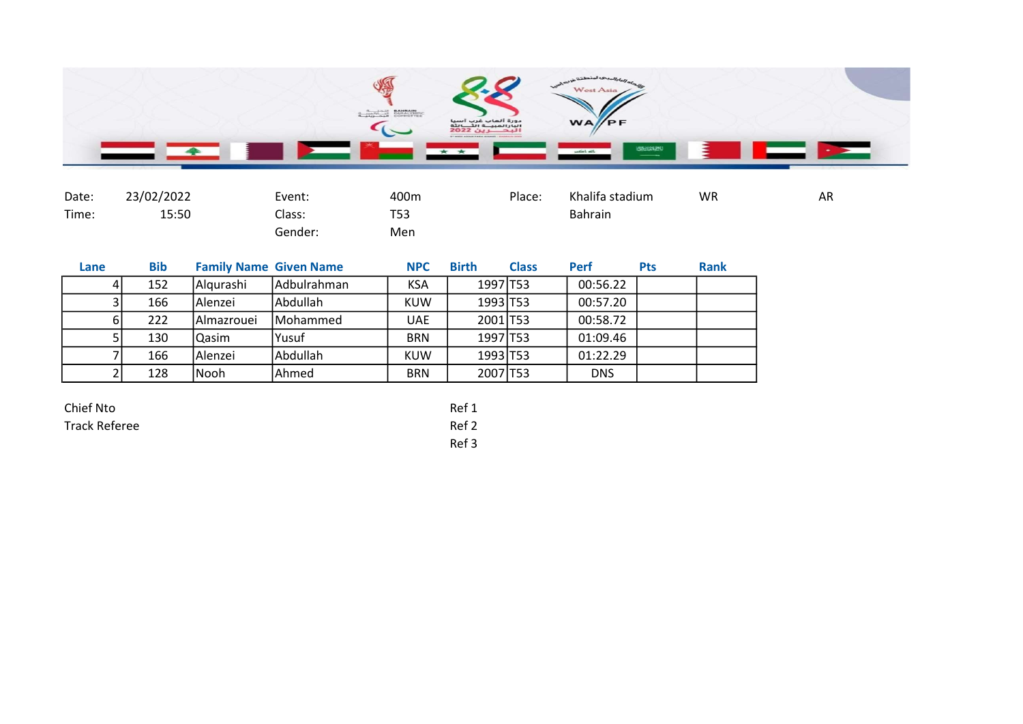

| Date: | 23/02/2022 | Event:  | 400m       | Place: | Khalifa stadium | <b>WR</b> | AR |
|-------|------------|---------|------------|--------|-----------------|-----------|----|
| Time: | 15:50      | Class:  | <b>T53</b> |        | Bahrain         |           |    |
|       |            | Gender: | Men        |        |                 |           |    |

| Lane | <b>Bib</b> |            | <b>Family Name Given Name</b> | <b>NPC</b> | <b>Birth</b>         | <b>Class</b> | <b>Perf</b> | <b>Pts</b> | <b>Rank</b> |
|------|------------|------------|-------------------------------|------------|----------------------|--------------|-------------|------------|-------------|
|      | 152<br>41  | Algurashi  | <b>Adbulrahman</b>            | <b>KSA</b> | 1997 T53             |              | 00:56.22    |            |             |
|      | 166        | Alenzei    | <b>Abdullah</b>               | <b>KUW</b> | 1993 T53             |              | 00:57.20    |            |             |
|      | 222<br>61  | Almazrouei | <b>IMohammed</b>              | <b>UAE</b> | 2001 T53             |              | 00:58.72    |            |             |
|      | 130        | Qasim      | Yusuf                         | <b>BRN</b> | 1997 T <sub>53</sub> |              | 01:09.46    |            |             |
|      | 166        | Alenzei    | <b>Abdullah</b>               | <b>KUW</b> | 1993 T53             |              | 01:22.29    |            |             |
|      | 128        | Nooh       | Ahmed                         | <b>BRN</b> | 2007 T53             |              | <b>DNS</b>  |            |             |

Ref 3

| Chief Nto     | Ref 1 |
|---------------|-------|
| Track Referee | Ref 2 |
|               | - - - |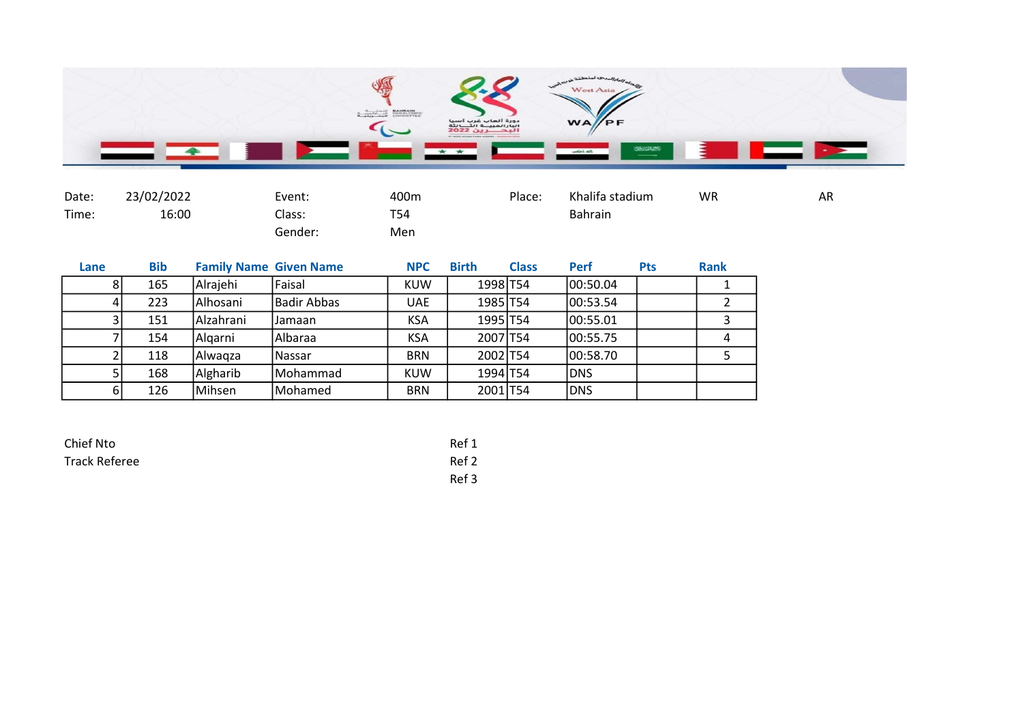

| Date: | 23/02/2022 | Event:  | 400m       | Place: | Khalifa stadium | <b>WR</b> | AR |
|-------|------------|---------|------------|--------|-----------------|-----------|----|
| Time: | 16:00      | Class:  | <b>T54</b> |        | Bahrain         |           |    |
|       |            | Gender: | Men        |        |                 |           |    |

| Lane | <b>Bib</b> | <b>Family Name Given Name</b> |               | <b>NPC</b> | <b>Birth</b>         | <b>Class</b> | Perf       | <b>Pts</b> | <b>Rank</b> |
|------|------------|-------------------------------|---------------|------------|----------------------|--------------|------------|------------|-------------|
| 81   | 165        | Alrajehi                      | Faisal        | <b>KUW</b> | 1998 T54             |              | 100:50.04  |            |             |
| 4    | 223        | Alhosani                      | Badir Abbas   | <b>UAE</b> | 1985 T54             |              | 00:53.54   |            |             |
|      | 151        | l Alzahrani                   | IJamaan       | <b>KSA</b> | 1995 T54             |              | 00:55.01   |            |             |
|      | 154        | Algarni                       | Albaraa       | <b>KSA</b> | 2007 T54             |              | 100:55.75  |            | 4           |
|      | 118        | lAlwaɑza                      | <b>Nassar</b> | <b>BRN</b> | 2002 T54             |              | 100:58.70  |            |             |
|      | 168        | Algharib                      | Mohammad      | <b>KUW</b> | 1994 T <sub>54</sub> |              | <b>DNS</b> |            |             |
| 61   | 126        | Mihsen                        | Mohamed       | <b>BRN</b> | 2001 T54             |              | <b>DNS</b> |            |             |

| Chief Nto            | Ref 1 |
|----------------------|-------|
| <b>Track Referee</b> | Ref 2 |
|                      | Ref 3 |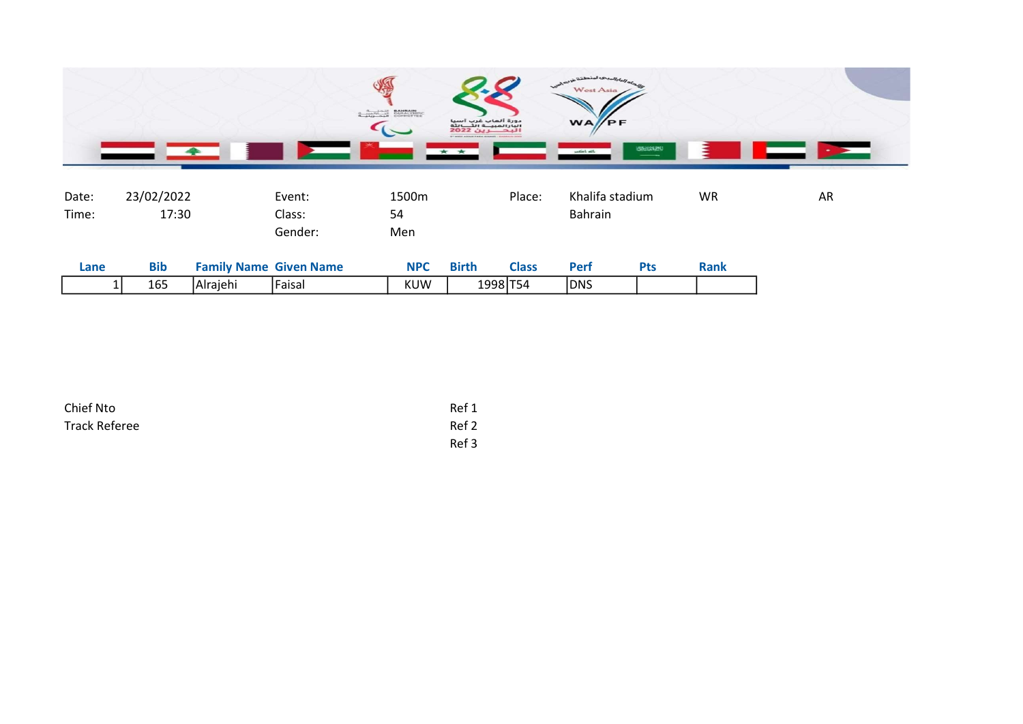

| Date: | 23/02/2022 |          | Event:                        | 1500m      |              | Place:       | Khalifa stadium |            | <b>WR</b>   | AR |
|-------|------------|----------|-------------------------------|------------|--------------|--------------|-----------------|------------|-------------|----|
| Time: | 17:30      |          | Class:                        | 54         |              |              | <b>Bahrain</b>  |            |             |    |
|       |            |          | Gender:                       | Men        |              |              |                 |            |             |    |
| Lane  | <b>Bib</b> |          | <b>Family Name Given Name</b> | <b>NPC</b> | <b>Birth</b> | <b>Class</b> | <b>Perf</b>     | <b>Pts</b> | <b>Rank</b> |    |
|       | 165        | Alrajehi | Faisal                        | <b>KUW</b> | 1998 T54     |              | <b>DNS</b>      |            |             |    |
|       |            |          |                               |            |              |              |                 |            |             |    |

| Chief Nto     | Ref 1 |
|---------------|-------|
| Track Referee | Ref 2 |
|               | Ref 3 |